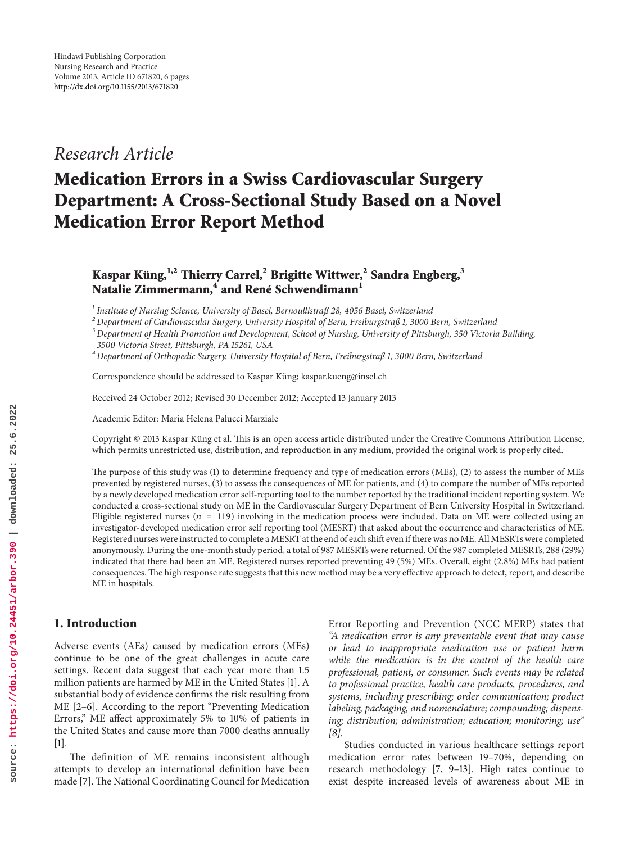## *Research Article*

# **Medication Errors in a Swiss Cardiovascular Surgery Department: A Cross-Sectional Study Based on a Novel Medication Error Report Method**

## **Kaspar Küng,1,2 Thierry Carrel,2 Brigitte Wittwer,2 Sandra Engberg,3 Natalie Zimmermann,<sup>4</sup> and René Schwendimann<sup>1</sup>**

*<sup>1</sup> Institute of Nursing Science, University of Basel, Bernoullistraß 28, 4056 Basel, Switzerland*

*<sup>2</sup> Department of Cardiovascular Surgery, University Hospital of Bern, Freiburgstraß 1, 3000 Bern, Switzerland*

*<sup>3</sup> Department of Health Promotion and Development, School of Nursing, University of Pittsburgh, 350 Victoria Building,*

*<sup>4</sup> Department of Orthopedic Surgery, University Hospital of Bern, Freiburgstraß 1, 3000 Bern, Switzerland*

Correspondence should be addressed to Kaspar Küng; kaspar.kueng@insel.ch

Received 24 October 2012; Revised 30 December 2012; Accepted 13 January 2013

Academic Editor: Maria Helena Palucci Marziale

Copyright © 2013 Kaspar Küng et al. This is an open access article distributed under the Creative Commons Attribution License, which permits unrestricted use, distribution, and reproduction in any medium, provided the original work is properly cited.

The purpose of this study was (1) to determine frequency and type of medication errors (MEs), (2) to assess the number of MEs prevented by registered nurses, (3) to assess the consequences of ME for patients, and (4) to compare the number of MEs reported by a newly developed medication error self-reporting tool to the number reported by the traditional incident reporting system. We conducted a cross-sectional study on ME in the Cardiovascular Surgery Department of Bern University Hospital in Switzerland. Eligible registered nurses ( $n = 119$ ) involving in the medication process were included. Data on ME were collected using an investigator-developed medication error self reporting tool (MESRT) that asked about the occurrence and characteristics of ME. Registered nurses were instructed to complete a MESRT at the end of each shift even if there was no ME. All MESRTs were completed anonymously. During the one-month study period, a total of 987 MESRTs were returned. Of the 987 completed MESRTs, 288 (29%) indicated that there had been an ME. Registered nurses reported preventing 49 (5%) MEs. Overall, eight (2.8%) MEs had patient consequences. The high response rate suggests that this new method may be a very effective approach to detect, report, and describe ME in hospitals.

#### **1. Introduction**

Adverse events (AEs) caused by medication errors (MEs) continue to be one of the great challenges in acute care settings. Recent data suggest that each year more than 1.5 million patients are harmed by ME in the United States [1]. A substantial body of evidence confirms the risk resulting from ME [2–6]. According to the report "Preventing Medication Errors," ME affect approximately 5% to 10% of patients in the United States and cause more than 7000 deaths annually [1].

The definition of ME remains inconsistent although attempts to develop an international definition have been made [7].The National Coordinating Council for Medication

Error Reporting and Prevention (NCC MERP) states that *"A medication error is any preventable event that may cause or lead to inappropriate medication use or patient harm while the medication is in the control of the health care professional, patient, or consumer. Such events may be related to professional practice, health care products, procedures, and systems, including prescribing; order communication; product labeling, packaging, and nomenclature; compounding; dispensing; distribution; administration; education; monitoring; use" [8].*

Studies conducted in various healthcare settings report medication error rates between 19–70%, depending on research methodology [7, 9–13]. High rates continue to exist despite increased levels of awareness about ME in

*<sup>3500</sup> Victoria Street, Pittsburgh, PA 15261, USA*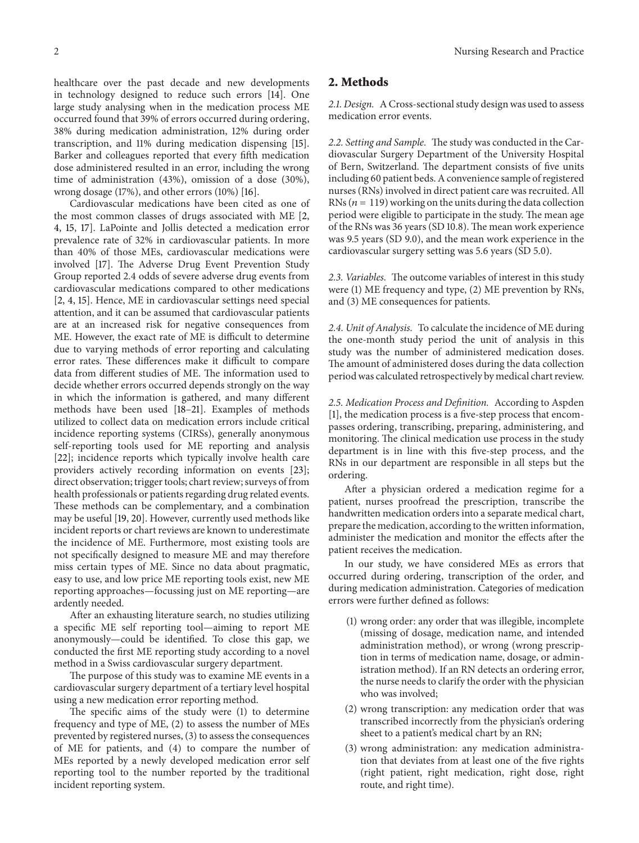**2. Methods**

*2.1. Design.* A Cross-sectional study design was used to assess medication error events.

*2.2. Setting and Sample.* The study was conducted in the Cardiovascular Surgery Department of the University Hospital of Bern, Switzerland. The department consists of five units including 60 patient beds. A convenience sample of registered nurses (RNs) involved in direct patient care was recruited. All RNs ( $n = 119$ ) working on the units during the data collection period were eligible to participate in the study. The mean age of the RNs was 36 years (SD 10.8). The mean work experience was 9.5 years (SD 9.0), and the mean work experience in the cardiovascular surgery setting was 5.6 years (SD 5.0).

*2.3. Variables.* The outcome variables of interest in this study were (1) ME frequency and type, (2) ME prevention by RNs, and (3) ME consequences for patients.

*2.4. Unit of Analysis.* To calculate the incidence of ME during the one-month study period the unit of analysis in this study was the number of administered medication doses. The amount of administered doses during the data collection period was calculated retrospectively by medical chart review.

*2.5. Medication Process and Definition.* According to Aspden [1], the medication process is a five-step process that encompasses ordering, transcribing, preparing, administering, and monitoring. The clinical medication use process in the study department is in line with this five-step process, and the RNs in our department are responsible in all steps but the ordering.

After a physician ordered a medication regime for a patient, nurses proofread the prescription, transcribe the handwritten medication orders into a separate medical chart, prepare the medication, according to the written information, administer the medication and monitor the effects after the patient receives the medication.

In our study, we have considered MEs as errors that occurred during ordering, transcription of the order, and during medication administration. Categories of medication errors were further defined as follows:

- (1) wrong order: any order that was illegible, incomplete (missing of dosage, medication name, and intended administration method), or wrong (wrong prescription in terms of medication name, dosage, or administration method). If an RN detects an ordering error, the nurse needs to clarify the order with the physician who was involved;
- (2) wrong transcription: any medication order that was transcribed incorrectly from the physician's ordering sheet to a patient's medical chart by an RN;
- (3) wrong administration: any medication administration that deviates from at least one of the five rights (right patient, right medication, right dose, right route, and right time).

healthcare over the past decade and new developments in technology designed to reduce such errors [14]. One large study analysing when in the medication process ME occurred found that 39% of errors occurred during ordering, 38% during medication administration, 12% during order transcription, and 11% during medication dispensing [15]. Barker and colleagues reported that every fifth medication dose administered resulted in an error, including the wrong time of administration (43%), omission of a dose (30%), wrong dosage (17%), and other errors (10%) [16].

Cardiovascular medications have been cited as one of the most common classes of drugs associated with ME [2, 4, 15, 17]. LaPointe and Jollis detected a medication error prevalence rate of 32% in cardiovascular patients. In more than 40% of those MEs, cardiovascular medications were involved [17]. The Adverse Drug Event Prevention Study Group reported 2.4 odds of severe adverse drug events from cardiovascular medications compared to other medications [2, 4, 15]. Hence, ME in cardiovascular settings need special attention, and it can be assumed that cardiovascular patients are at an increased risk for negative consequences from ME. However, the exact rate of ME is difficult to determine due to varying methods of error reporting and calculating error rates. These differences make it difficult to compare data from different studies of ME. The information used to decide whether errors occurred depends strongly on the way in which the information is gathered, and many different methods have been used [18–21]. Examples of methods utilized to collect data on medication errors include critical incidence reporting systems (CIRSs), generally anonymous self-reporting tools used for ME reporting and analysis [22]; incidence reports which typically involve health care providers actively recording information on events [23]; direct observation; trigger tools; chart review; surveys of from health professionals or patients regarding drug related events. These methods can be complementary, and a combination may be useful [19, 20]. However, currently used methods like incident reports or chart reviews are known to underestimate the incidence of ME. Furthermore, most existing tools are not specifically designed to measure ME and may therefore miss certain types of ME. Since no data about pragmatic, easy to use, and low price ME reporting tools exist, new ME reporting approaches—focussing just on ME reporting—are ardently needed.

After an exhausting literature search, no studies utilizing a specific ME self reporting tool—aiming to report ME anonymously—could be identified. To close this gap, we conducted the first ME reporting study according to a novel method in a Swiss cardiovascular surgery department.

The purpose of this study was to examine ME events in a cardiovascular surgery department of a tertiary level hospital using a new medication error reporting method.

The specific aims of the study were (1) to determine frequency and type of ME, (2) to assess the number of MEs prevented by registered nurses, (3) to assess the consequences of ME for patients, and (4) to compare the number of MEs reported by a newly developed medication error self reporting tool to the number reported by the traditional incident reporting system.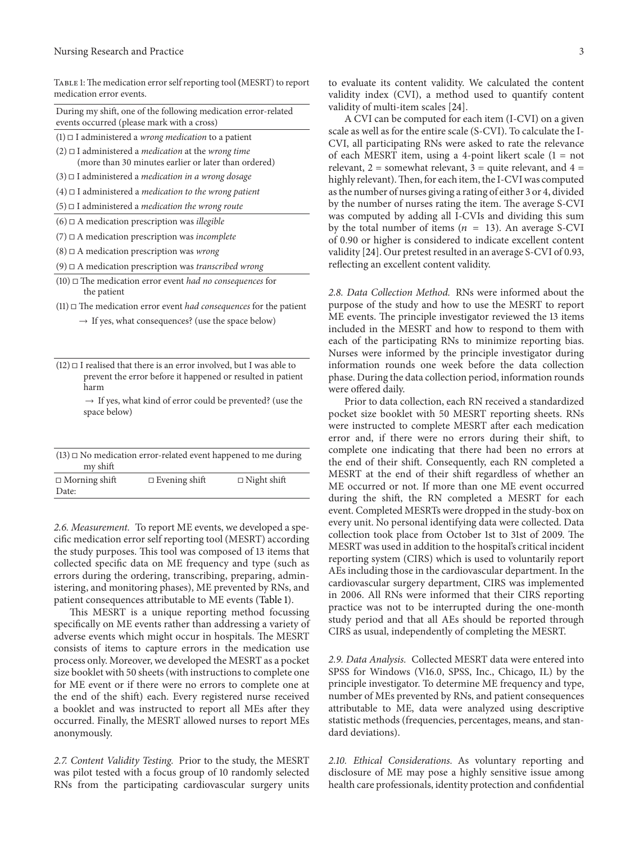Table 1: The medication error self reporting tool**(**MESRT) to report medication error events.

| During my shift, one of the following medication error-related<br>events occurred (please mark with a cross)                     |
|----------------------------------------------------------------------------------------------------------------------------------|
| $(1)$ $\Box$ I administered a <i>wrong medication</i> to a patient                                                               |
| $(2)$ $\Box$ I administered a <i>medication</i> at the <i>wrong time</i><br>(more than 30 minutes earlier or later than ordered) |
| $(3)$ $\Box$ I administered a <i>medication in a wrong dosage</i>                                                                |
| $(4)$ $\Box$ I administered a <i>medication to the wrong patient</i>                                                             |
| $(5)$ $\Box$ I administered a <i>medication the wrong route</i>                                                                  |
| $(6)$ $\Box$ A medication prescription was <i>illegible</i>                                                                      |
| $(7)$ $\Box$ A medication prescription was <i>incomplete</i>                                                                     |
| $(8)$ $\Box$ A medication prescription was <i>wrong</i>                                                                          |
| $(9)$ $\Box$ A medication prescription was <i>transcribed wrong</i>                                                              |
| $(10)$ $\Box$ The medication error event had no consequences for<br>the patient                                                  |
| $(11)$ $\Box$ The medication error event <i>had consequences</i> for the patient                                                 |

 $\rightarrow$  If yes, what consequences? (use the space below)

 $(12)$   $\Box$  I realised that there is an error involved, but I was able to prevent the error before it happened or resulted in patient harm

 $\rightarrow$  If yes, what kind of error could be prevented? (use the space below)

| $(13)$ $\Box$ No medication error-related event happened to me during<br>my shift |                      |                    |  |
|-----------------------------------------------------------------------------------|----------------------|--------------------|--|
| $\Box$ Morning shift<br>Date:                                                     | $\Box$ Evening shift | $\Box$ Night shift |  |

*2.6. Measurement.* To report ME events, we developed a specific medication error self reporting tool (MESRT) according the study purposes. This tool was composed of 13 items that collected specific data on ME frequency and type (such as errors during the ordering, transcribing, preparing, administering, and monitoring phases), ME prevented by RNs, and patient consequences attributable to ME events (Table 1).

This MESRT is a unique reporting method focussing specifically on ME events rather than addressing a variety of adverse events which might occur in hospitals. The MESRT consists of items to capture errors in the medication use process only. Moreover, we developed the MESRT as a pocket size booklet with 50 sheets (with instructions to complete one for ME event or if there were no errors to complete one at the end of the shift) each. Every registered nurse received a booklet and was instructed to report all MEs after they occurred. Finally, the MESRT allowed nurses to report MEs anonymously.

*2.7. Content Validity Testing.* Prior to the study, the MESRT was pilot tested with a focus group of 10 randomly selected RNs from the participating cardiovascular surgery units

A CVI can be computed for each item (I-CVI) on a given scale as well as for the entire scale (S-CVI). To calculate the I-CVI, all participating RNs were asked to rate the relevance of each MESRT item, using a 4-point likert scale  $(1 = not$ relevant,  $2 =$  somewhat relevant,  $3 =$  quite relevant, and  $4 =$ highly relevant). Then, for each item, the I-CVI was computed as the number of nurses giving a rating of either 3 or 4, divided by the number of nurses rating the item. The average S-CVI was computed by adding all I-CVIs and dividing this sum by the total number of items ( $n = 13$ ). An average S-CVI of 0.90 or higher is considered to indicate excellent content validity [24]. Our pretest resulted in an average S-CVI of 0.93, reflecting an excellent content validity.

*2.8. Data Collection Method.* RNs were informed about the purpose of the study and how to use the MESRT to report ME events. The principle investigator reviewed the 13 items included in the MESRT and how to respond to them with each of the participating RNs to minimize reporting bias. Nurses were informed by the principle investigator during information rounds one week before the data collection phase. During the data collection period, information rounds were offered daily.

Prior to data collection, each RN received a standardized pocket size booklet with 50 MESRT reporting sheets. RNs were instructed to complete MESRT after each medication error and, if there were no errors during their shift, to complete one indicating that there had been no errors at the end of their shift. Consequently, each RN completed a MESRT at the end of their shift regardless of whether an ME occurred or not. If more than one ME event occurred during the shift, the RN completed a MESRT for each event. Completed MESRTs were dropped in the study-box on every unit. No personal identifying data were collected. Data collection took place from October 1st to 31st of 2009. The MESRT was used in addition to the hospital's critical incident reporting system (CIRS) which is used to voluntarily report AEs including those in the cardiovascular department. In the cardiovascular surgery department, CIRS was implemented in 2006. All RNs were informed that their CIRS reporting practice was not to be interrupted during the one-month study period and that all AEs should be reported through CIRS as usual, independently of completing the MESRT.

*2.9. Data Analysis.* Collected MESRT data were entered into SPSS for Windows (V16.0, SPSS, Inc., Chicago, IL) by the principle investigator. To determine ME frequency and type, number of MEs prevented by RNs, and patient consequences attributable to ME, data were analyzed using descriptive statistic methods (frequencies, percentages, means, and standard deviations).

*2.10. Ethical Considerations.* As voluntary reporting and disclosure of ME may pose a highly sensitive issue among health care professionals, identity protection and confidential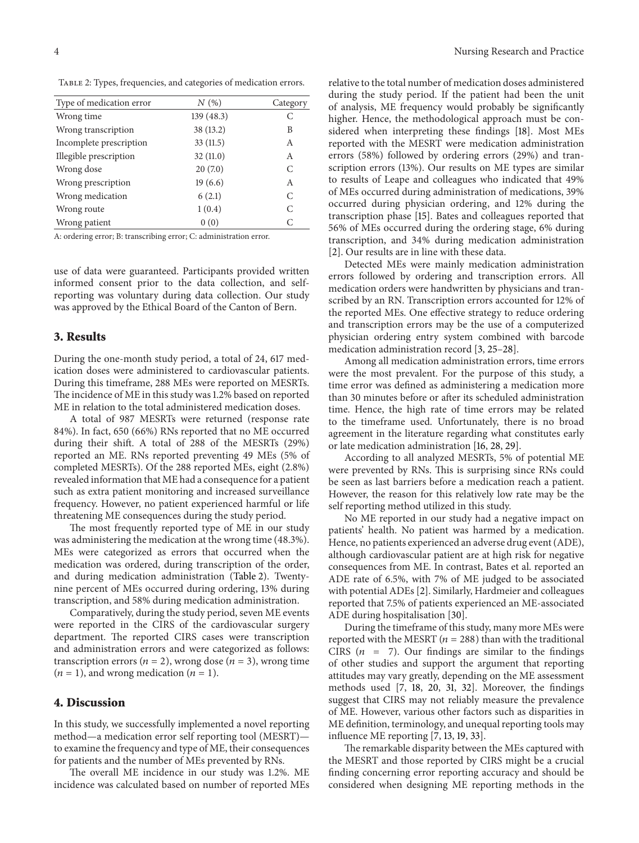Table 2: Types, frequencies, and categories of medication errors.

| Type of medication error | N(%)       | Category |
|--------------------------|------------|----------|
| Wrong time               | 139 (48.3) | С        |
| Wrong transcription      | 38 (13.2)  | B        |
| Incomplete prescription  | 33(11.5)   | A        |
| Illegible prescription   | 32(11.0)   | А        |
| Wrong dose               | 20(7.0)    | C        |
| Wrong prescription       | 19(6.6)    | А        |
| Wrong medication         | 6(2.1)     | C        |
| Wrong route              | 1(0.4)     | C        |
| Wrong patient            | 0(0)       | C        |

A: ordering error; B: transcribing error; C: administration error.

use of data were guaranteed. Participants provided written informed consent prior to the data collection, and selfreporting was voluntary during data collection. Our study was approved by the Ethical Board of the Canton of Bern.

#### **3. Results**

During the one-month study period, a total of 24, 617 medication doses were administered to cardiovascular patients. During this timeframe, 288 MEs were reported on MESRTs. The incidence of ME in this study was 1.2% based on reported ME in relation to the total administered medication doses.

A total of 987 MESRTs were returned (response rate 84%). In fact, 650 (66%) RNs reported that no ME occurred during their shift. A total of 288 of the MESRTs (29%) reported an ME. RNs reported preventing 49 MEs (5% of completed MESRTs). Of the 288 reported MEs, eight (2.8%) revealed information that ME had a consequence for a patient such as extra patient monitoring and increased surveillance frequency. However, no patient experienced harmful or life threatening ME consequences during the study period.

The most frequently reported type of ME in our study was administering the medication at the wrong time (48.3%). MEs were categorized as errors that occurred when the medication was ordered, during transcription of the order, and during medication administration (Table 2). Twentynine percent of MEs occurred during ordering, 13% during transcription, and 58% during medication administration.

Comparatively, during the study period, seven ME events were reported in the CIRS of the cardiovascular surgery department. The reported CIRS cases were transcription and administration errors and were categorized as follows: transcription errors ( $n=2$ ), wrong dose ( $n=3$ ), wrong time  $(n=1)$ , and wrong medication  $(n=1)$ .

#### **4. Discussion**

In this study, we successfully implemented a novel reporting method—a medication error self reporting tool (MESRT) to examine the frequency and type of ME, their consequences for patients and the number of MEs prevented by RNs.

The overall ME incidence in our study was 1.2%. ME incidence was calculated based on number of reported MEs relative to the total number of medication doses administered during the study period. If the patient had been the unit of analysis, ME frequency would probably be significantly higher. Hence, the methodological approach must be considered when interpreting these findings [18]. Most MEs reported with the MESRT were medication administration errors (58%) followed by ordering errors (29%) and transcription errors (13%). Our results on ME types are similar to results of Leape and colleagues who indicated that 49% of MEs occurred during administration of medications, 39% occurred during physician ordering, and 12% during the transcription phase [15]. Bates and colleagues reported that 56% of MEs occurred during the ordering stage, 6% during transcription, and 34% during medication administration [2]. Our results are in line with these data.

Detected MEs were mainly medication administration errors followed by ordering and transcription errors. All medication orders were handwritten by physicians and transcribed by an RN. Transcription errors accounted for 12% of the reported MEs. One effective strategy to reduce ordering and transcription errors may be the use of a computerized physician ordering entry system combined with barcode medication administration record [3, 25–28].

Among all medication administration errors, time errors were the most prevalent. For the purpose of this study, a time error was defined as administering a medication more than 30 minutes before or after its scheduled administration time. Hence, the high rate of time errors may be related to the timeframe used. Unfortunately, there is no broad agreement in the literature regarding what constitutes early or late medication administration [16, 28, 29].

According to all analyzed MESRTs, 5% of potential ME were prevented by RNs. This is surprising since RNs could be seen as last barriers before a medication reach a patient. However, the reason for this relatively low rate may be the self reporting method utilized in this study.

No ME reported in our study had a negative impact on patients' health. No patient was harmed by a medication. Hence, no patients experienced an adverse drug event (ADE), although cardiovascular patient are at high risk for negative consequences from ME. In contrast, Bates et al. reported an ADE rate of 6.5%, with 7% of ME judged to be associated with potential ADEs [2]. Similarly, Hardmeier and colleagues reported that 7.5% of patients experienced an ME-associated ADE during hospitalisation [30].

During the timeframe of this study, many more MEs were reported with the MESRT ( $n = 288$ ) than with the traditional CIRS  $(n = 7)$ . Our findings are similar to the findings of other studies and support the argument that reporting attitudes may vary greatly, depending on the ME assessment methods used [7, 18, 20, 31, 32]. Moreover, the findings suggest that CIRS may not reliably measure the prevalence of ME. However, various other factors such as disparities in ME definition, terminology, and unequal reporting tools may influence ME reporting [7, 13, 19, 33].

The remarkable disparity between the MEs captured with the MESRT and those reported by CIRS might be a crucial finding concerning error reporting accuracy and should be considered when designing ME reporting methods in the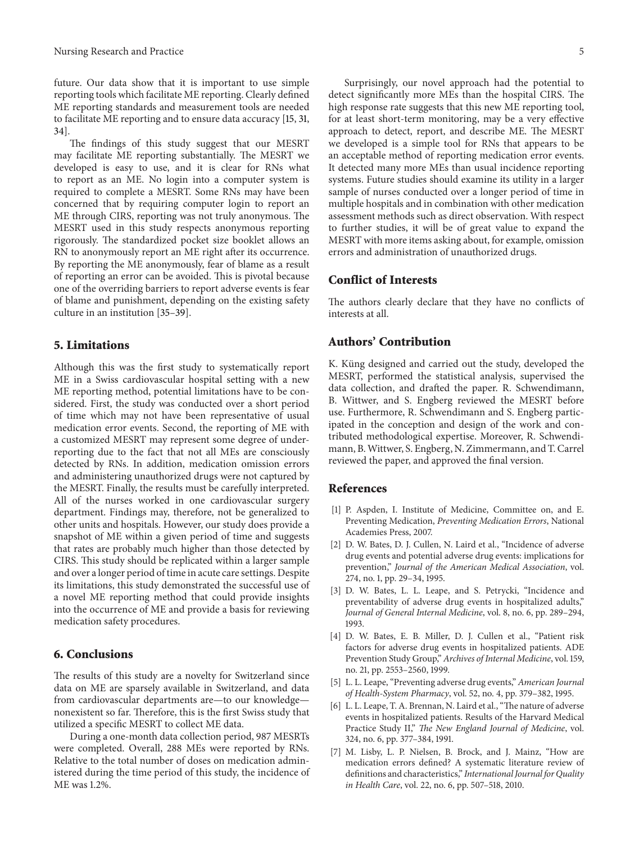future. Our data show that it is important to use simple reporting tools which facilitate ME reporting. Clearly defined ME reporting standards and measurement tools are needed to facilitate ME reporting and to ensure data accuracy [15, 31, 34].

The findings of this study suggest that our MESRT may facilitate ME reporting substantially. The MESRT we developed is easy to use, and it is clear for RNs what to report as an ME. No login into a computer system is required to complete a MESRT. Some RNs may have been concerned that by requiring computer login to report an ME through CIRS, reporting was not truly anonymous. The MESRT used in this study respects anonymous reporting rigorously. The standardized pocket size booklet allows an RN to anonymously report an ME right after its occurrence. By reporting the ME anonymously, fear of blame as a result of reporting an error can be avoided. This is pivotal because one of the overriding barriers to report adverse events is fear of blame and punishment, depending on the existing safety culture in an institution [35–39].

#### **5. Limitations**

Although this was the first study to systematically report ME in a Swiss cardiovascular hospital setting with a new ME reporting method, potential limitations have to be considered. First, the study was conducted over a short period of time which may not have been representative of usual medication error events. Second, the reporting of ME with a customized MESRT may represent some degree of underreporting due to the fact that not all MEs are consciously detected by RNs. In addition, medication omission errors and administering unauthorized drugs were not captured by the MESRT. Finally, the results must be carefully interpreted. All of the nurses worked in one cardiovascular surgery department. Findings may, therefore, not be generalized to other units and hospitals. However, our study does provide a snapshot of ME within a given period of time and suggests that rates are probably much higher than those detected by CIRS. This study should be replicated within a larger sample and over a longer period of time in acute care settings. Despite its limitations, this study demonstrated the successful use of a novel ME reporting method that could provide insights into the occurrence of ME and provide a basis for reviewing medication safety procedures.

#### **6. Conclusions**

The results of this study are a novelty for Switzerland since data on ME are sparsely available in Switzerland, and data from cardiovascular departments are—to our knowledge nonexistent so far. Therefore, this is the first Swiss study that utilized a specific MESRT to collect ME data.

During a one-month data collection period, 987 MESRTs were completed. Overall, 288 MEs were reported by RNs. Relative to the total number of doses on medication administered during the time period of this study, the incidence of ME was 1.2%.

Surprisingly, our novel approach had the potential to detect significantly more MEs than the hospital CIRS. The high response rate suggests that this new ME reporting tool, for at least short-term monitoring, may be a very effective approach to detect, report, and describe ME. The MESRT we developed is a simple tool for RNs that appears to be an acceptable method of reporting medication error events. It detected many more MEs than usual incidence reporting systems. Future studies should examine its utility in a larger sample of nurses conducted over a longer period of time in multiple hospitals and in combination with other medication assessment methods such as direct observation. With respect to further studies, it will be of great value to expand the MESRT with more items asking about, for example, omission errors and administration of unauthorized drugs.

#### **Conflict of Interests**

The authors clearly declare that they have no conflicts of interests at all.

### **Authors' Contribution**

K. Küng designed and carried out the study, developed the MESRT, performed the statistical analysis, supervised the data collection, and drafted the paper. R. Schwendimann, B. Wittwer, and S. Engberg reviewed the MESRT before use. Furthermore, R. Schwendimann and S. Engberg participated in the conception and design of the work and contributed methodological expertise. Moreover, R. Schwendimann, B.Wittwer, S. Engberg, N. Zimmermann, and T. Carrel reviewed the paper, and approved the final version.

#### **References**

- [1] P. Aspden, I. Institute of Medicine, Committee on, and E. Preventing Medication, *Preventing Medication Errors*, National Academies Press, 2007.
- [2] D. W. Bates, D. J. Cullen, N. Laird et al., "Incidence of adverse drug events and potential adverse drug events: implications for prevention," *Journal of the American Medical Association*, vol. 274, no. 1, pp. 29–34, 1995.
- [3] D. W. Bates, L. L. Leape, and S. Petrycki, "Incidence and preventability of adverse drug events in hospitalized adults," *Journal of General Internal Medicine*, vol. 8, no. 6, pp. 289–294, 1993.
- [4] D. W. Bates, E. B. Miller, D. J. Cullen et al., "Patient risk factors for adverse drug events in hospitalized patients. ADE Prevention Study Group," *Archives of Internal Medicine*, vol. 159, no. 21, pp. 2553–2560, 1999.
- [5] L. L. Leape, "Preventing adverse drug events," *American Journal of Health-System Pharmacy*, vol. 52, no. 4, pp. 379–382, 1995.
- [6] L. L. Leape, T. A. Brennan, N. Laird et al., "The nature of adverse events in hospitalized patients. Results of the Harvard Medical Practice Study II," *The New England Journal of Medicine*, vol. 324, no. 6, pp. 377–384, 1991.
- [7] M. Lisby, L. P. Nielsen, B. Brock, and J. Mainz, "How are medication errors defined? A systematic literature review of definitions and characteristics," *International Journal for Quality in Health Care*, vol. 22, no. 6, pp. 507–518, 2010.